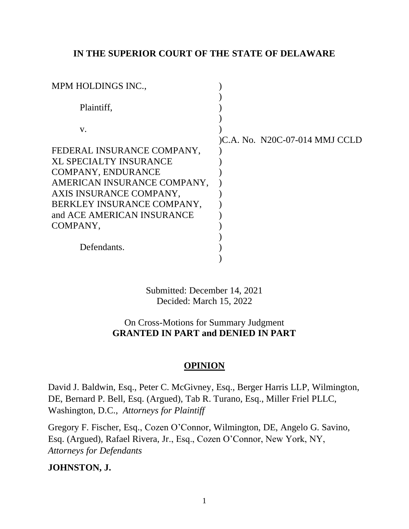## **IN THE SUPERIOR COURT OF THE STATE OF DELAWARE**

| MPM HOLDINGS INC.,            |                                |
|-------------------------------|--------------------------------|
|                               |                                |
| Plaintiff,                    |                                |
|                               |                                |
| V.                            |                                |
|                               | )C.A. No. N20C-07-014 MMJ CCLD |
| FEDERAL INSURANCE COMPANY,    |                                |
| <b>XL SPECIALTY INSURANCE</b> |                                |
| <b>COMPANY, ENDURANCE</b>     |                                |
| AMERICAN INSURANCE COMPANY,   |                                |
| AXIS INSURANCE COMPANY,       |                                |
| BERKLEY INSURANCE COMPANY,    |                                |
| and ACE AMERICAN INSURANCE    |                                |
| COMPANY,                      |                                |
|                               |                                |
| Defendants.                   |                                |
|                               |                                |

Submitted: December 14, 2021 Decided: March 15, 2022

# On Cross-Motions for Summary Judgment **GRANTED IN PART and DENIED IN PART**

# **OPINION**

David J. Baldwin, Esq., Peter C. McGivney, Esq., Berger Harris LLP, Wilmington, DE, Bernard P. Bell, Esq. (Argued), Tab R. Turano, Esq., Miller Friel PLLC, Washington, D.C., *Attorneys for Plaintiff*

Gregory F. Fischer, Esq., Cozen O'Connor, Wilmington, DE, Angelo G. Savino, Esq. (Argued), Rafael Rivera, Jr., Esq., Cozen O'Connor, New York, NY, *Attorneys for Defendants*

## **JOHNSTON, J.**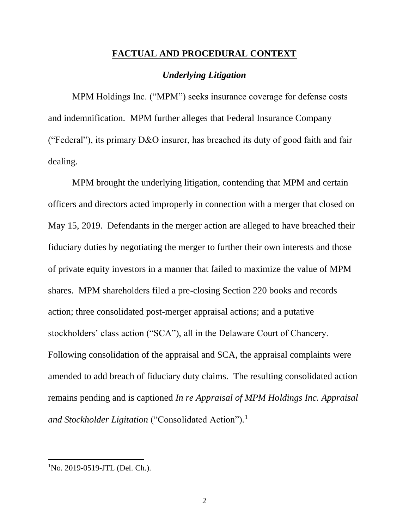## **FACTUAL AND PROCEDURAL CONTEXT**

## *Underlying Litigation*

MPM Holdings Inc. ("MPM") seeks insurance coverage for defense costs and indemnification. MPM further alleges that Federal Insurance Company ("Federal"), its primary D&O insurer, has breached its duty of good faith and fair dealing.

MPM brought the underlying litigation, contending that MPM and certain officers and directors acted improperly in connection with a merger that closed on May 15, 2019. Defendants in the merger action are alleged to have breached their fiduciary duties by negotiating the merger to further their own interests and those of private equity investors in a manner that failed to maximize the value of MPM shares. MPM shareholders filed a pre-closing Section 220 books and records action; three consolidated post-merger appraisal actions; and a putative stockholders' class action ("SCA"), all in the Delaware Court of Chancery. Following consolidation of the appraisal and SCA, the appraisal complaints were amended to add breach of fiduciary duty claims. The resulting consolidated action remains pending and is captioned *In re Appraisal of MPM Holdings Inc. Appraisal and Stockholder Ligitation* ("Consolidated Action")*.* 1

 ${}^{1}$ No. 2019-0519-JTL (Del. Ch.).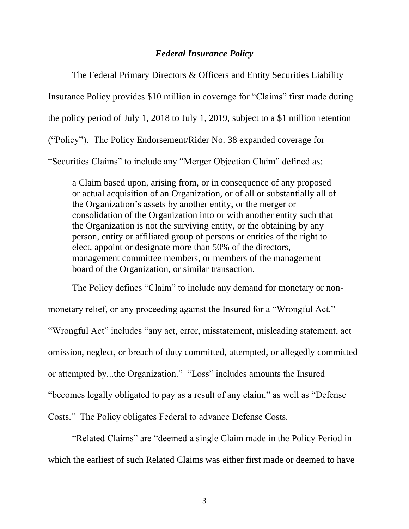#### *Federal Insurance Policy*

The Federal Primary Directors & Officers and Entity Securities Liability Insurance Policy provides \$10 million in coverage for "Claims" first made during the policy period of July 1, 2018 to July 1, 2019, subject to a \$1 million retention ("Policy"). The Policy Endorsement/Rider No. 38 expanded coverage for "Securities Claims" to include any "Merger Objection Claim" defined as:

a Claim based upon, arising from, or in consequence of any proposed or actual acquisition of an Organization, or of all or substantially all of the Organization's assets by another entity, or the merger or consolidation of the Organization into or with another entity such that the Organization is not the surviving entity, or the obtaining by any person, entity or affiliated group of persons or entities of the right to elect, appoint or designate more than 50% of the directors, management committee members, or members of the management board of the Organization, or similar transaction.

The Policy defines "Claim" to include any demand for monetary or nonmonetary relief, or any proceeding against the Insured for a "Wrongful Act." "Wrongful Act" includes "any act, error, misstatement, misleading statement, act omission, neglect, or breach of duty committed, attempted, or allegedly committed or attempted by...the Organization." "Loss" includes amounts the Insured "becomes legally obligated to pay as a result of any claim," as well as "Defense Costs." The Policy obligates Federal to advance Defense Costs.

"Related Claims" are "deemed a single Claim made in the Policy Period in which the earliest of such Related Claims was either first made or deemed to have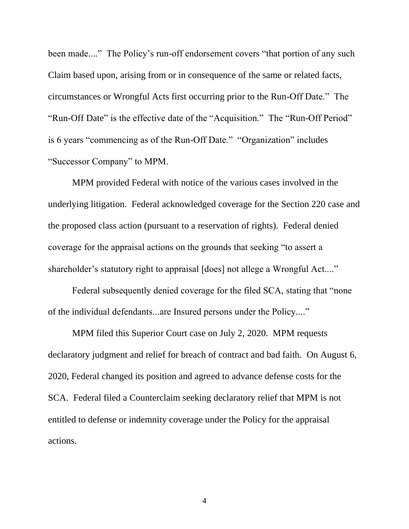been made...." The Policy's run-off endorsement covers "that portion of any such Claim based upon, arising from or in consequence of the same or related facts, circumstances or Wrongful Acts first occurring prior to the Run-Off Date." The "Run-Off Date" is the effective date of the "Acquisition." The "Run-Off Period" is 6 years "commencing as of the Run-Off Date." "Organization" includes "Successor Company" to MPM.

MPM provided Federal with notice of the various cases involved in the underlying litigation. Federal acknowledged coverage for the Section 220 case and the proposed class action (pursuant to a reservation of rights). Federal denied coverage for the appraisal actions on the grounds that seeking "to assert a shareholder's statutory right to appraisal [does] not allege a Wrongful Act...."

Federal subsequently denied coverage for the filed SCA, stating that "none of the individual defendants...are Insured persons under the Policy...."

MPM filed this Superior Court case on July 2, 2020. MPM requests declaratory judgment and relief for breach of contract and bad faith. On August 6, 2020, Federal changed its position and agreed to advance defense costs for the SCA. Federal filed a Counterclaim seeking declaratory relief that MPM is not entitled to defense or indemnity coverage under the Policy for the appraisal actions.

4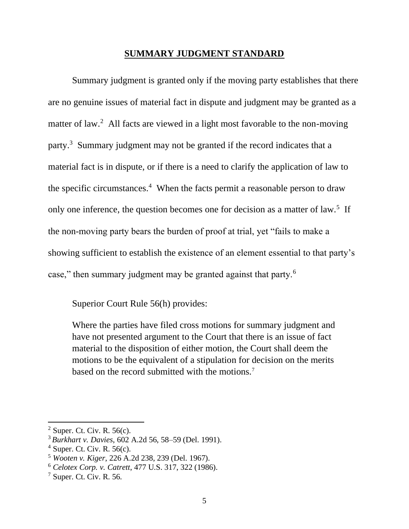#### **SUMMARY JUDGMENT STANDARD**

Summary judgment is granted only if the moving party establishes that there are no genuine issues of material fact in dispute and judgment may be granted as a matter of law.<sup>2</sup> All facts are viewed in a light most favorable to the non-moving party.<sup>3</sup> Summary judgment may not be granted if the record indicates that a material fact is in dispute, or if there is a need to clarify the application of law to the specific circumstances.<sup>4</sup> When the facts permit a reasonable person to draw only one inference, the question becomes one for decision as a matter of law.<sup>5</sup> If the non-moving party bears the burden of proof at trial, yet "fails to make a showing sufficient to establish the existence of an element essential to that party's case," then summary judgment may be granted against that party.<sup>6</sup>

Superior Court Rule 56(h) provides:

Where the parties have filed cross motions for summary judgment and have not presented argument to the Court that there is an issue of fact material to the disposition of either motion, the Court shall deem the motions to be the equivalent of a stipulation for decision on the merits based on the record submitted with the motions.<sup>7</sup>

 $2$  Super. Ct. Civ. R. 56(c).

<sup>3</sup> *Burkhart v. Davies*, 602 A.2d 56, 58–59 (Del. 1991).

 $4$  Super. Ct. Civ. R. 56(c).

<sup>5</sup> *Wooten v. Kiger*, 226 A.2d 238, 239 (Del. 1967).

<sup>6</sup> *Celotex Corp. v. Catrett*, 477 U.S. 317, 322 (1986).

 $<sup>7</sup>$  Super. Ct. Civ. R. 56.</sup>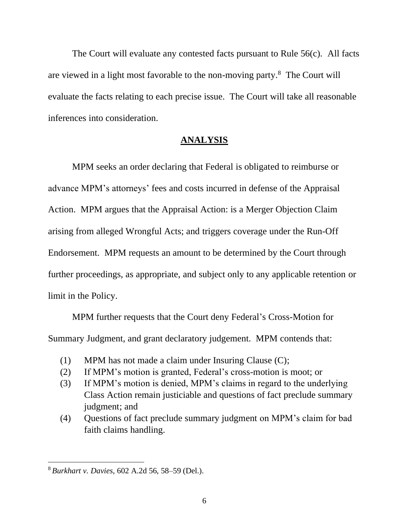The Court will evaluate any contested facts pursuant to Rule 56(c). All facts are viewed in a light most favorable to the non-moving party.<sup>8</sup> The Court will evaluate the facts relating to each precise issue. The Court will take all reasonable inferences into consideration.

#### **ANALYSIS**

MPM seeks an order declaring that Federal is obligated to reimburse or advance MPM's attorneys' fees and costs incurred in defense of the Appraisal Action. MPM argues that the Appraisal Action: is a Merger Objection Claim arising from alleged Wrongful Acts; and triggers coverage under the Run-Off Endorsement. MPM requests an amount to be determined by the Court through further proceedings, as appropriate, and subject only to any applicable retention or limit in the Policy.

MPM further requests that the Court deny Federal's Cross-Motion for Summary Judgment, and grant declaratory judgement. MPM contends that:

- (1) MPM has not made a claim under Insuring Clause (C);
- (2) If MPM's motion is granted, Federal's cross-motion is moot; or
- (3) If MPM's motion is denied, MPM's claims in regard to the underlying Class Action remain justiciable and questions of fact preclude summary judgment; and
- (4) Questions of fact preclude summary judgment on MPM's claim for bad faith claims handling.

<sup>8</sup> *Burkhart v. Davies*, 602 A.2d 56, 58–59 (Del.).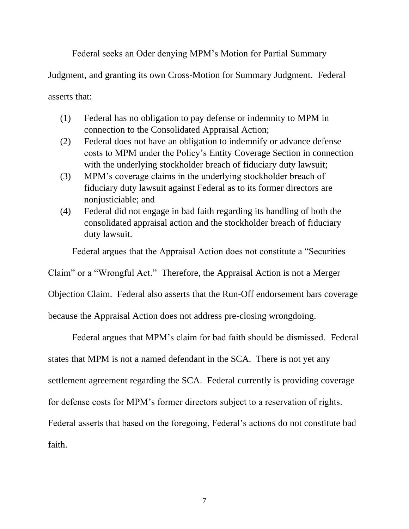Federal seeks an Oder denying MPM's Motion for Partial Summary

Judgment, and granting its own Cross-Motion for Summary Judgment. Federal

asserts that:

- (1) Federal has no obligation to pay defense or indemnity to MPM in connection to the Consolidated Appraisal Action;
- (2) Federal does not have an obligation to indemnify or advance defense costs to MPM under the Policy's Entity Coverage Section in connection with the underlying stockholder breach of fiduciary duty lawsuit;
- (3) MPM's coverage claims in the underlying stockholder breach of fiduciary duty lawsuit against Federal as to its former directors are nonjusticiable; and
- (4) Federal did not engage in bad faith regarding its handling of both the consolidated appraisal action and the stockholder breach of fiduciary duty lawsuit.

Federal argues that the Appraisal Action does not constitute a "Securities

Claim" or a "Wrongful Act." Therefore, the Appraisal Action is not a Merger

Objection Claim. Federal also asserts that the Run-Off endorsement bars coverage

because the Appraisal Action does not address pre-closing wrongdoing.

Federal argues that MPM's claim for bad faith should be dismissed. Federal states that MPM is not a named defendant in the SCA. There is not yet any settlement agreement regarding the SCA. Federal currently is providing coverage for defense costs for MPM's former directors subject to a reservation of rights. Federal asserts that based on the foregoing, Federal's actions do not constitute bad faith.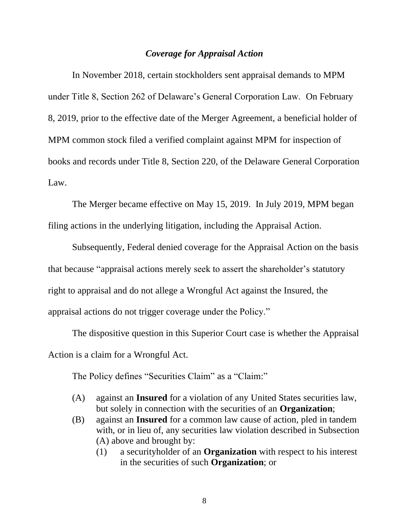#### *Coverage for Appraisal Action*

In November 2018, certain stockholders sent appraisal demands to MPM under Title 8, Section 262 of Delaware's General Corporation Law. On February 8, 2019, prior to the effective date of the Merger Agreement, a beneficial holder of MPM common stock filed a verified complaint against MPM for inspection of books and records under Title 8, Section 220, of the Delaware General Corporation Law.

The Merger became effective on May 15, 2019. In July 2019, MPM began filing actions in the underlying litigation, including the Appraisal Action.

Subsequently, Federal denied coverage for the Appraisal Action on the basis that because "appraisal actions merely seek to assert the shareholder's statutory right to appraisal and do not allege a Wrongful Act against the Insured, the appraisal actions do not trigger coverage under the Policy."

The dispositive question in this Superior Court case is whether the Appraisal Action is a claim for a Wrongful Act.

The Policy defines "Securities Claim" as a "Claim:"

- (A) against an **Insured** for a violation of any United States securities law, but solely in connection with the securities of an **Organization**;
- (B) against an **Insured** for a common law cause of action, pled in tandem with, or in lieu of, any securities law violation described in Subsection (A) above and brought by:
	- (1) a securityholder of an **Organization** with respect to his interest in the securities of such **Organization**; or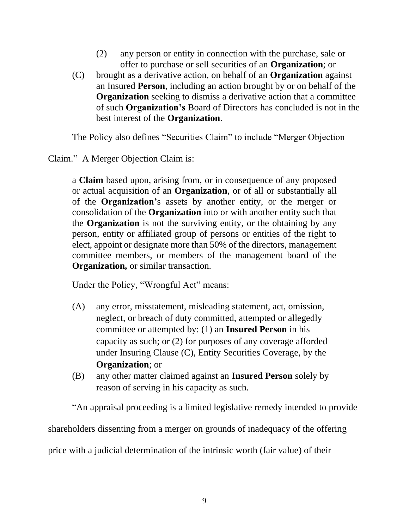- (2) any person or entity in connection with the purchase, sale or offer to purchase or sell securities of an **Organization**; or
- (C) brought as a derivative action, on behalf of an **Organization** against an Insured **Person**, including an action brought by or on behalf of the **Organization** seeking to dismiss a derivative action that a committee of such **Organization's** Board of Directors has concluded is not in the best interest of the **Organization**.

The Policy also defines "Securities Claim" to include "Merger Objection

Claim." A Merger Objection Claim is:

a **Claim** based upon, arising from, or in consequence of any proposed or actual acquisition of an **Organization**, or of all or substantially all of the **Organization'**s assets by another entity, or the merger or consolidation of the **Organization** into or with another entity such that the **Organization** is not the surviving entity, or the obtaining by any person, entity or affiliated group of persons or entities of the right to elect, appoint or designate more than 50% of the directors, management committee members, or members of the management board of the **Organization,** or similar transaction.

Under the Policy, "Wrongful Act" means:

- (A) any error, misstatement, misleading statement, act, omission, neglect, or breach of duty committed, attempted or allegedly committee or attempted by: (1) an **Insured Person** in his capacity as such; or (2) for purposes of any coverage afforded under Insuring Clause (C), Entity Securities Coverage, by the **Organization**; or
- (B) any other matter claimed against an **Insured Person** solely by reason of serving in his capacity as such.

"An appraisal proceeding is a limited legislative remedy intended to provide

shareholders dissenting from a merger on grounds of inadequacy of the offering

price with a judicial determination of the intrinsic worth (fair value) of their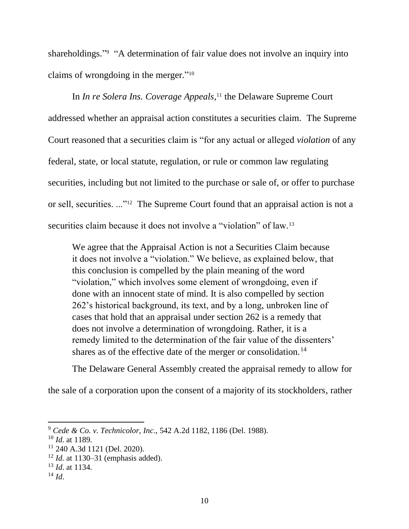shareholdings."<sup>9</sup> "A determination of fair value does not involve an inquiry into claims of wrongdoing in the merger." 10

In *In re Solera Ins. Coverage Appeals*, <sup>11</sup> the Delaware Supreme Court addressed whether an appraisal action constitutes a securities claim. The Supreme Court reasoned that a securities claim is "for any actual or alleged *violation* of any federal, state, or local statute, regulation, or rule or common law regulating securities, including but not limited to the purchase or sale of, or offer to purchase or sell, securities. ..."<sup>12</sup> The Supreme Court found that an appraisal action is not a securities claim because it does not involve a "violation" of law.<sup>13</sup>

We agree that the Appraisal Action is not a Securities Claim because it does not involve a "violation." We believe, as explained below, that this conclusion is compelled by the plain meaning of the word "violation," which involves some element of wrongdoing, even if done with an innocent state of mind. It is also compelled by section 262's historical background, its text, and by a long, unbroken line of cases that hold that an appraisal under section 262 is a remedy that does not involve a determination of wrongdoing. Rather, it is a remedy limited to the determination of the fair value of the dissenters' shares as of the effective date of the merger or consolidation.<sup>14</sup>

The Delaware General Assembly created the appraisal remedy to allow for

the sale of a corporation upon the consent of a majority of its stockholders, rather

<sup>9</sup> *Cede & Co. v. Technicolor, Inc*., 542 A.2d 1182, 1186 (Del. 1988).

<sup>10</sup> *Id*. at 1189.

<sup>11</sup> 240 A.3d 1121 (Del. 2020).

<sup>12</sup> *Id.* at 1130–31 (emphasis added).

<sup>13</sup> *Id*. at 1134.

 $^{14}$  *Id.*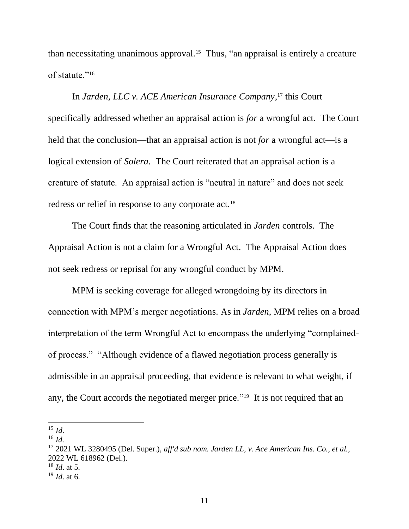than necessitating unanimous approval. 15 Thus, "an appraisal is entirely a creature of statute."<sup>16</sup>

In *Jarden, LLC v. ACE American Insurance Company*, <sup>17</sup> this Court specifically addressed whether an appraisal action is *for* a wrongful act. The Court held that the conclusion—that an appraisal action is not *for* a wrongful act—is a logical extension of *Solera*. The Court reiterated that an appraisal action is a creature of statute. An appraisal action is "neutral in nature" and does not seek redress or relief in response to any corporate act.<sup>18</sup>

The Court finds that the reasoning articulated in *Jarden* controls. The Appraisal Action is not a claim for a Wrongful Act. The Appraisal Action does not seek redress or reprisal for any wrongful conduct by MPM.

MPM is seeking coverage for alleged wrongdoing by its directors in connection with MPM's merger negotiations. As in *Jarden*, MPM relies on a broad interpretation of the term Wrongful Act to encompass the underlying "complainedof process." "Although evidence of a flawed negotiation process generally is admissible in an appraisal proceeding, that evidence is relevant to what weight, if any, the Court accords the negotiated merger price."<sup>19</sup> It is not required that an

 $^{15}$  *Id.* 

<sup>16</sup> *Id.*

<sup>17</sup> 2021 WL 3280495 (Del. Super.), *aff'd sub nom. Jarden LL, v. Ace American Ins. Co., et al.*, 2022 WL 618962 (Del.).

<sup>18</sup> *Id*. at 5.

<sup>19</sup> *Id*. at 6.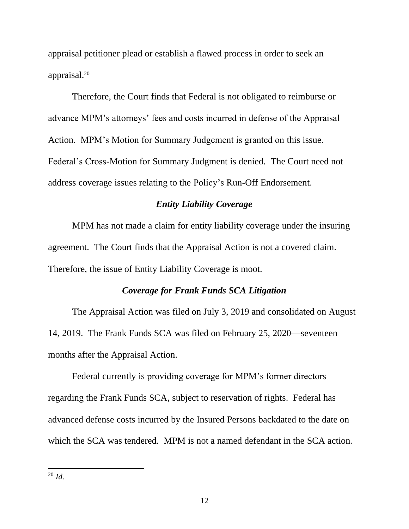appraisal petitioner plead or establish a flawed process in order to seek an appraisal.<sup>20</sup>

Therefore, the Court finds that Federal is not obligated to reimburse or advance MPM's attorneys' fees and costs incurred in defense of the Appraisal Action. MPM's Motion for Summary Judgement is granted on this issue. Federal's Cross-Motion for Summary Judgment is denied. The Court need not address coverage issues relating to the Policy's Run-Off Endorsement.

## *Entity Liability Coverage*

MPM has not made a claim for entity liability coverage under the insuring agreement. The Court finds that the Appraisal Action is not a covered claim. Therefore, the issue of Entity Liability Coverage is moot.

## *Coverage for Frank Funds SCA Litigation*

The Appraisal Action was filed on July 3, 2019 and consolidated on August 14, 2019. The Frank Funds SCA was filed on February 25, 2020—seventeen months after the Appraisal Action.

Federal currently is providing coverage for MPM's former directors regarding the Frank Funds SCA, subject to reservation of rights. Federal has advanced defense costs incurred by the Insured Persons backdated to the date on which the SCA was tendered. MPM is not a named defendant in the SCA action*.*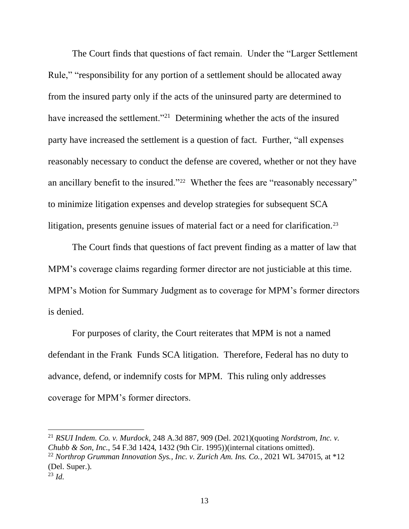The Court finds that questions of fact remain. Under the "Larger Settlement Rule," "responsibility for any portion of a settlement should be allocated away from the insured party only if the acts of the uninsured party are determined to have increased the settlement."<sup>21</sup> Determining whether the acts of the insured party have increased the settlement is a question of fact. Further, "all expenses reasonably necessary to conduct the defense are covered, whether or not they have an ancillary benefit to the insured."<sup>22</sup> Whether the fees are "reasonably necessary" to minimize litigation expenses and develop strategies for subsequent SCA litigation, presents genuine issues of material fact or a need for clarification.<sup>23</sup>

The Court finds that questions of fact prevent finding as a matter of law that MPM's coverage claims regarding former director are not justiciable at this time. MPM's Motion for Summary Judgment as to coverage for MPM's former directors is denied.

For purposes of clarity, the Court reiterates that MPM is not a named defendant in the Frank Funds SCA litigation. Therefore, Federal has no duty to advance, defend, or indemnify costs for MPM. This ruling only addresses coverage for MPM's former directors.

<sup>21</sup> *RSUI Indem. Co. v. Murdock*, 248 A.3d 887, 909 (Del. 2021)(quoting *Nordstrom, Inc. v. Chubb & Son, Inc.*, 54 F.3d 1424, 1432 (9th Cir. 1995))(internal citations omitted).

<sup>22</sup> *Northrop Grumman Innovation Sys., Inc. v. Zurich Am. Ins. Co.*, 2021 WL 347015, at \*12 (Del. Super.).

<sup>23</sup> *Id.*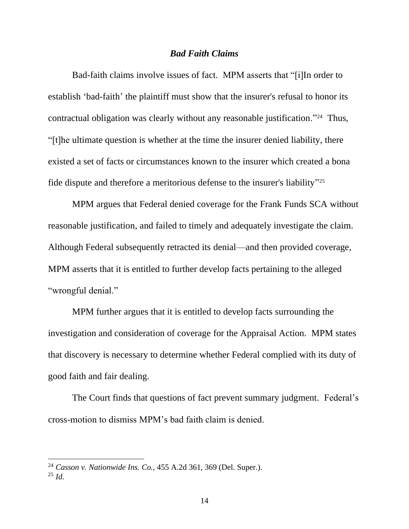### *Bad Faith Claims*

Bad-faith claims involve issues of fact. MPM asserts that "[i]In order to establish 'bad-faith' the plaintiff must show that the insurer's refusal to honor its contractual obligation was clearly without any reasonable justification."<sup>24</sup> Thus, "[t]he ultimate question is whether at the time the insurer denied liability, there existed a set of facts or circumstances known to the insurer which created a bona fide dispute and therefore a meritorious defense to the insurer's liability" 25

MPM argues that Federal denied coverage for the Frank Funds SCA without reasonable justification, and failed to timely and adequately investigate the claim. Although Federal subsequently retracted its denial—and then provided coverage, MPM asserts that it is entitled to further develop facts pertaining to the alleged "wrongful denial."

MPM further argues that it is entitled to develop facts surrounding the investigation and consideration of coverage for the Appraisal Action. MPM states that discovery is necessary to determine whether Federal complied with its duty of good faith and fair dealing.

The Court finds that questions of fact prevent summary judgment. Federal's cross-motion to dismiss MPM's bad faith claim is denied.

<sup>24</sup> *Casson v. Nationwide Ins. Co.,* 455 A.2d 361, 369 (Del. Super.).

 $^{25}$  *Id*.